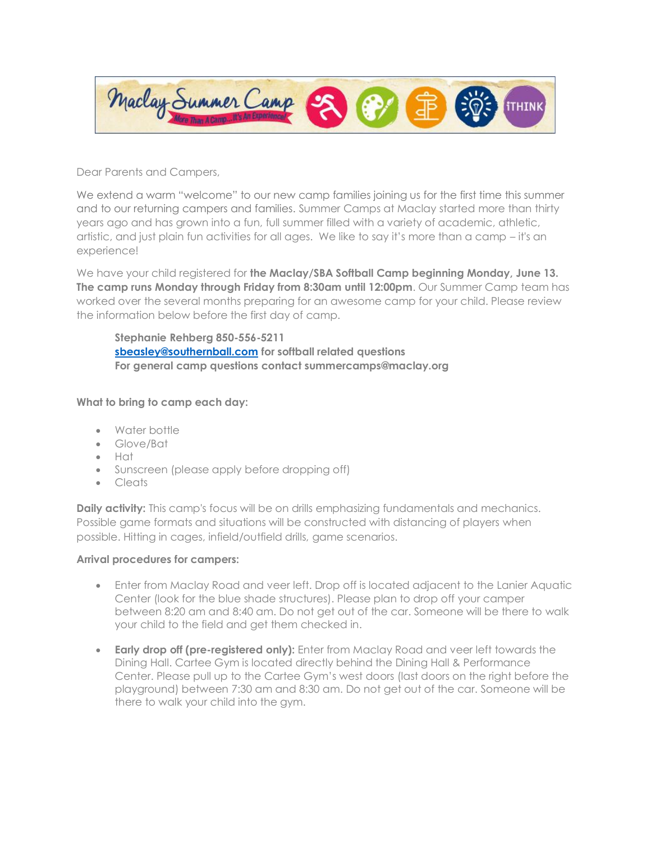

Dear Parents and Campers,

We extend a warm "welcome" to our new camp families joining us for the first time this summer and to our returning campers and families. Summer Camps at Maclay started more than thirty years ago and has grown into a fun, full summer filled with a variety of academic, athletic, artistic, and just plain fun activities for all ages. We like to say it's more than a camp – it's an experience!

We have your child registered for **the Maclay/SBA Softball Camp beginning Monday, June 13. The camp runs Monday through Friday from 8:30am until 12:00pm**. Our Summer Camp team has worked over the several months preparing for an awesome camp for your child. Please review the information below before the first day of camp.

**Stephanie Rehberg 850-556-5211 [sbeasley@southernball.com](mailto:sbeasley@southernball.com) for softball related questions For general camp questions contact summercamps@maclay.org**

## **What to bring to camp each day:**

- Water bottle
- Glove/Bat
- Hat
- Sunscreen (please apply before dropping off)
- Cleats

**Daily activity:** This camp's focus will be on drills emphasizing fundamentals and mechanics. Possible game formats and situations will be constructed with distancing of players when possible. Hitting in cages, infield/outfield drills, game scenarios.

## **Arrival procedures for campers:**

- Enter from Maclay Road and veer left. Drop off is located adjacent to the Lanier Aquatic Center (look for the blue shade structures). Please plan to drop off your camper between 8:20 am and 8:40 am. Do not get out of the car. Someone will be there to walk your child to the field and get them checked in.
- **Early drop off (pre-registered only):** Enter from Maclay Road and veer left towards the Dining Hall. Cartee Gym is located directly behind the Dining Hall & Performance Center. Please pull up to the Cartee Gym's west doors (last doors on the right before the playground) between 7:30 am and 8:30 am. Do not get out of the car. Someone will be there to walk your child into the gym.